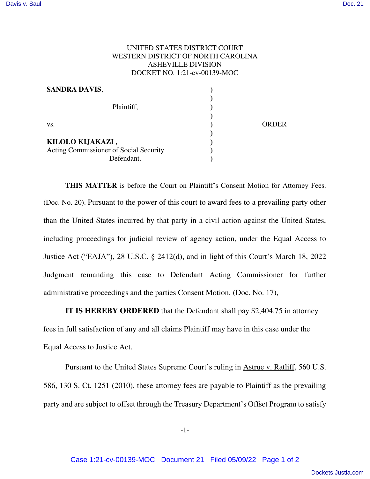## UNITED STATES DISTRICT COURT WESTERN DISTRICT OF NORTH CAROLINA ASHEVILLE DIVISION DOCKET NO. 1:21-cv-00139-MOC

| <b>SANDRA DAVIS,</b>                   |              |
|----------------------------------------|--------------|
|                                        |              |
| Plaintiff,                             |              |
|                                        |              |
| VS.                                    | <b>ORDER</b> |
|                                        |              |
| KILOLO KIJAKAZI,                       |              |
| Acting Commissioner of Social Security |              |
| Defendant.                             |              |

**THIS MATTER** is before the Court on Plaintiff's Consent Motion for Attorney Fees. (Doc. No. 20). Pursuant to the power of this court to award fees to a prevailing party other than the United States incurred by that party in a civil action against the United States, including proceedings for judicial review of agency action, under the Equal Access to Justice Act ("EAJA"), 28 U.S.C. § 2412(d), and in light of this Court's March 18, 2022 Judgment remanding this case to Defendant Acting Commissioner for further administrative proceedings and the parties Consent Motion, (Doc. No. 17),

**IT IS HEREBY ORDERED** that the Defendant shall pay \$2,404.75 in attorney

fees in full satisfaction of any and all claims Plaintiff may have in this case under the Equal Access to Justice Act.

Pursuant to the United States Supreme Court's ruling in Astrue v. Ratliff, 560 U.S. 586, 130 S. Ct. 1251 (2010), these attorney fees are payable to Plaintiff as the prevailing party and are subject to offset through the Treasury Department's Offset Program to satisfy